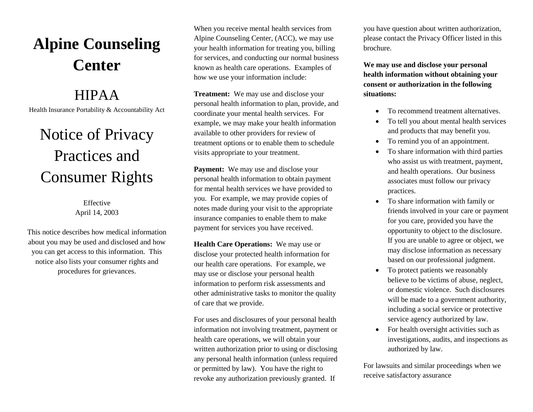# **Alpine Counseling Center**

### HIPAA

Health Insurance Portability & Accountability Act

# Notice of Privacy Practices and Consumer Rights

Effective April 14, 2003

This notice describes how medical information about you may be used and disclosed and how you can get access to this information. This notice also lists your consumer rights and procedures for grievances.

When you receive mental health services from Alpine Counseling Center, (ACC), we may use your health information for treating you, billing for services, and conducting our normal business known as health care operations. Examples of how we use your information include:

**Treatment:** We may use and disclose your personal health information to plan, provide, and coordinate your mental health services. For example, we may make your health information available to other providers for review of treatment options or to enable them to schedule visits appropriate to your treatment.

**Payment:** We may use and disclose your personal health information to obtain payment for mental health services we have provided to you. For example, we may provide copies of notes made during your visit to the appropriate insurance companies to enable them to make payment for services you have received.

**Health Care Operations:** We may use or disclose your protected health information for our health care operations. For example, we may use or disclose your personal health information to perform risk assessments and other administrative tasks to monitor the quality of care that we provide.

For uses and disclosures of your personal health information not involving treatment, payment or health care operations, we will obtain your written authorization prior to using or disclosing any personal health information (unless required or permitted by law). You have the right to revoke any authorization previously granted. If

you have question about written authorization, please contact the Privacy Officer listed in this brochure.

**We may use and disclose your personal health information without obtaining your consent or authorization in the following situations:** 

- To recommend treatment alternatives.
- To tell you about mental health services and products that may benefit you.
- To remind you of an appointment.
- To share information with third parties who assist us with treatment, payment, and health operations. Our business associates must follow our privacy practices.
- To share information with family or friends involved in your care or payment for you care, provided you have the opportunity to object to the disclosure. If you are unable to agree or object, we may disclose information as necessary based on our professional judgment.
- To protect patients we reasonably believe to be victims of abuse, neglect, or domestic violence. Such disclosures will be made to a government authority, including a social service or protective service agency authorized by law.
- For health oversight activities such as investigations, audits, and inspections as authorized by law.

For lawsuits and similar proceedings when we receive satisfactory assurance